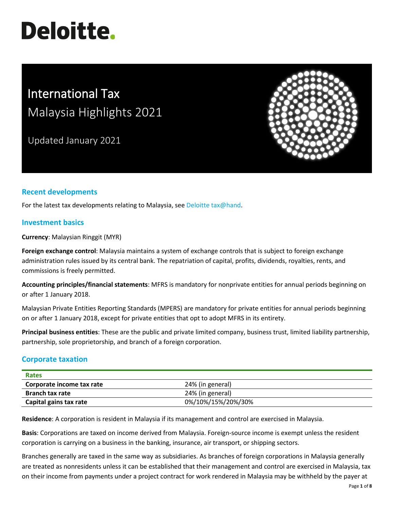# **Deloitte.**

# International Tax Malaysia Highlights 2021

Updated January 2021



## **Recent developments**

For the latest tax developments relating to Malaysia, see [Deloitte tax@hand.](https://www.taxathand.com/world-news/Malaysia)

#### **Investment basics**

**Currency**: Malaysian Ringgit (MYR)

**Foreign exchange control**: Malaysia maintains a system of exchange controls that is subject to foreign exchange administration rules issued by its central bank. The repatriation of capital, profits, dividends, royalties, rents, and commissions is freely permitted.

**Accounting principles/financial statements**: MFRS is mandatory for nonprivate entities for annual periods beginning on or after 1 January 2018.

Malaysian Private Entities Reporting Standards (MPERS) are mandatory for private entities for annual periods beginning on or after 1 January 2018, except for private entities that opt to adopt MFRS in its entirety.

**Principal business entities**: These are the public and private limited company, business trust, limited liability partnership, partnership, sole proprietorship, and branch of a foreign corporation.

#### **Corporate taxation**

| <b>Rates</b>              |                    |
|---------------------------|--------------------|
| Corporate income tax rate | 24% (in general)   |
| <b>Branch tax rate</b>    | 24% (in general)   |
| Capital gains tax rate    | 0%/10%/15%/20%/30% |

**Residence**: A corporation is resident in Malaysia if its management and control are exercised in Malaysia.

**Basis**: Corporations are taxed on income derived from Malaysia. Foreign-source income is exempt unless the resident corporation is carrying on a business in the banking, insurance, air transport, or shipping sectors.

Branches generally are taxed in the same way as subsidiaries. As branches of foreign corporations in Malaysia generally are treated as nonresidents unless it can be established that their management and control are exercised in Malaysia, tax on their income from payments under a project contract for work rendered in Malaysia may be withheld by the payer at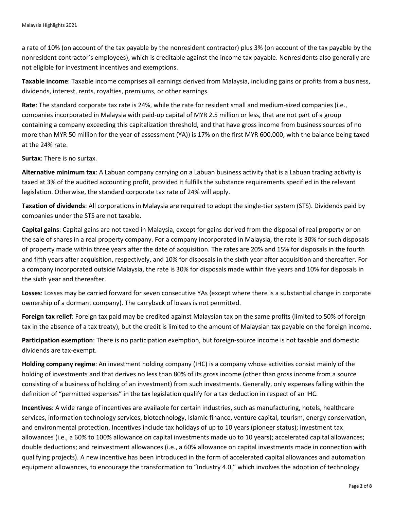a rate of 10% (on account of the tax payable by the nonresident contractor) plus 3% (on account of the tax payable by the nonresident contractor's employees), which is creditable against the income tax payable. Nonresidents also generally are not eligible for investment incentives and exemptions.

**Taxable income**: Taxable income comprises all earnings derived from Malaysia, including gains or profits from a business, dividends, interest, rents, royalties, premiums, or other earnings.

**Rate**: The standard corporate tax rate is 24%, while the rate for resident small and medium-sized companies (i.e., companies incorporated in Malaysia with paid-up capital of MYR 2.5 million or less, that are not part of a group containing a company exceeding this capitalization threshold, and that have gross income from business sources of no more than MYR 50 million for the year of assessment (YA)) is 17% on the first MYR 600,000, with the balance being taxed at the 24% rate.

**Surtax**: There is no surtax.

**Alternative minimum tax**: A Labuan company carrying on a Labuan business activity that is a Labuan trading activity is taxed at 3% of the audited accounting profit, provided it fulfills the substance requirements specified in the relevant legislation. Otherwise, the standard corporate tax rate of 24% will apply.

**Taxation of dividends**: All corporations in Malaysia are required to adopt the single-tier system (STS). Dividends paid by companies under the STS are not taxable.

**Capital gains**: Capital gains are not taxed in Malaysia, except for gains derived from the disposal of real property or on the sale of shares in a real property company. For a company incorporated in Malaysia, the rate is 30% for such disposals of property made within three years after the date of acquisition. The rates are 20% and 15% for disposals in the fourth and fifth years after acquisition, respectively, and 10% for disposals in the sixth year after acquisition and thereafter. For a company incorporated outside Malaysia, the rate is 30% for disposals made within five years and 10% for disposals in the sixth year and thereafter.

**Losses**: Losses may be carried forward for seven consecutive YAs (except where there is a substantial change in corporate ownership of a dormant company). The carryback of losses is not permitted.

**Foreign tax relief**: Foreign tax paid may be credited against Malaysian tax on the same profits (limited to 50% of foreign tax in the absence of a tax treaty), but the credit is limited to the amount of Malaysian tax payable on the foreign income.

**Participation exemption**: There is no participation exemption, but foreign-source income is not taxable and domestic dividends are tax-exempt.

**Holding company regime**: An investment holding company (IHC) is a company whose activities consist mainly of the holding of investments and that derives no less than 80% of its gross income (other than gross income from a source consisting of a business of holding of an investment) from such investments. Generally, only expenses falling within the definition of "permitted expenses" in the tax legislation qualify for a tax deduction in respect of an IHC.

**Incentives**: A wide range of incentives are available for certain industries, such as manufacturing, hotels, healthcare services, information technology services, biotechnology, Islamic finance, venture capital, tourism, energy conservation, and environmental protection. Incentives include tax holidays of up to 10 years (pioneer status); investment tax allowances (i.e., a 60% to 100% allowance on capital investments made up to 10 years); accelerated capital allowances; double deductions; and reinvestment allowances (i.e., a 60% allowance on capital investments made in connection with qualifying projects). A new incentive has been introduced in the form of accelerated capital allowances and automation equipment allowances, to encourage the transformation to "Industry 4.0," which involves the adoption of technology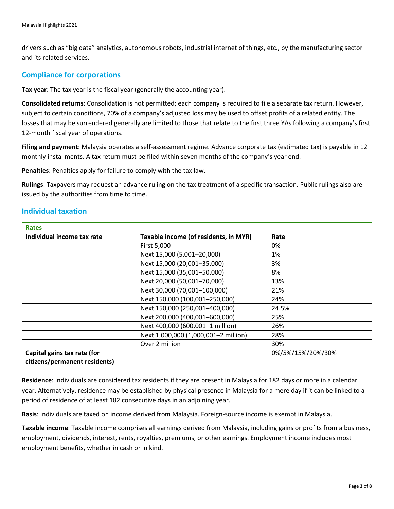drivers such as "big data" analytics, autonomous robots, industrial internet of things, etc., by the manufacturing sector and its related services.

#### **Compliance for corporations**

**Tax year**: The tax year is the fiscal year (generally the accounting year).

**Consolidated returns**: Consolidation is not permitted; each company is required to file a separate tax return. However, subject to certain conditions, 70% of a company's adjusted loss may be used to offset profits of a related entity. The losses that may be surrendered generally are limited to those that relate to the first three YAs following a company's first 12-month fiscal year of operations.

**Filing and payment**: Malaysia operates a self-assessment regime. Advance corporate tax (estimated tax) is payable in 12 monthly installments. A tax return must be filed within seven months of the company's year end.

**Penalties**: Penalties apply for failure to comply with the tax law.

**Rulings**: Taxpayers may request an advance ruling on the tax treatment of a specific transaction. Public rulings also are issued by the authorities from time to time.

### **Individual taxation**

| <b>Rates</b>                  |                                       |                   |
|-------------------------------|---------------------------------------|-------------------|
| Individual income tax rate    | Taxable income (of residents, in MYR) | Rate              |
|                               | First 5,000                           | 0%                |
|                               | Next 15,000 (5,001-20,000)            | 1%                |
|                               | Next 15,000 (20,001-35,000)           | 3%                |
|                               | Next 15,000 (35,001-50,000)           | 8%                |
|                               | Next 20,000 (50,001-70,000)           | 13%               |
|                               | Next 30,000 (70,001-100,000)          | 21%               |
|                               | Next 150,000 (100,001-250,000)        | 24%               |
|                               | Next 150,000 (250,001-400,000)        | 24.5%             |
|                               | Next 200,000 (400,001-600,000)        | 25%               |
|                               | Next 400,000 (600,001-1 million)      | 26%               |
|                               | Next 1,000,000 (1,000,001-2 million)  | 28%               |
|                               | Over 2 million                        | 30%               |
| Capital gains tax rate (for   |                                       | 0%/5%/15%/20%/30% |
| citizens/permanent residents) |                                       |                   |

**Residence**: Individuals are considered tax residents if they are present in Malaysia for 182 days or more in a calendar year. Alternatively, residence may be established by physical presence in Malaysia for a mere day if it can be linked to a period of residence of at least 182 consecutive days in an adjoining year.

**Basis**: Individuals are taxed on income derived from Malaysia. Foreign-source income is exempt in Malaysia.

**Taxable income**: Taxable income comprises all earnings derived from Malaysia, including gains or profits from a business, employment, dividends, interest, rents, royalties, premiums, or other earnings. Employment income includes most employment benefits, whether in cash or in kind.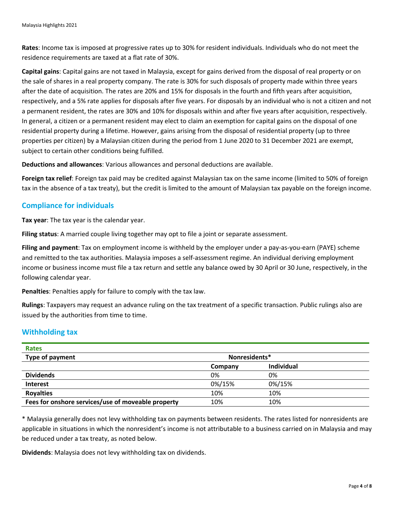**Rates**: Income tax is imposed at progressive rates up to 30% for resident individuals. Individuals who do not meet the residence requirements are taxed at a flat rate of 30%.

**Capital gains**: Capital gains are not taxed in Malaysia, except for gains derived from the disposal of real property or on the sale of shares in a real property company. The rate is 30% for such disposals of property made within three years after the date of acquisition. The rates are 20% and 15% for disposals in the fourth and fifth years after acquisition, respectively, and a 5% rate applies for disposals after five years. For disposals by an individual who is not a citizen and not a permanent resident, the rates are 30% and 10% for disposals within and after five years after acquisition, respectively. In general, a citizen or a permanent resident may elect to claim an exemption for capital gains on the disposal of one residential property during a lifetime. However, gains arising from the disposal of residential property (up to three properties per citizen) by a Malaysian citizen during the period from 1 June 2020 to 31 December 2021 are exempt, subject to certain other conditions being fulfilled.

**Deductions and allowances**: Various allowances and personal deductions are available.

**Foreign tax relief**: Foreign tax paid may be credited against Malaysian tax on the same income (limited to 50% of foreign tax in the absence of a tax treaty), but the credit is limited to the amount of Malaysian tax payable on the foreign income.

#### **Compliance for individuals**

**Tax year**: The tax year is the calendar year.

**Filing status**: A married couple living together may opt to file a joint or separate assessment.

**Filing and payment**: Tax on employment income is withheld by the employer under a pay-as-you-earn (PAYE) scheme and remitted to the tax authorities. Malaysia imposes a self-assessment regime. An individual deriving employment income or business income must file a tax return and settle any balance owed by 30 April or 30 June, respectively, in the following calendar year.

**Penalties**: Penalties apply for failure to comply with the tax law.

**Rulings**: Taxpayers may request an advance ruling on the tax treatment of a specific transaction. Public rulings also are issued by the authorities from time to time.

#### **Withholding tax**

| <b>Rates</b>                                       |               |                   |  |
|----------------------------------------------------|---------------|-------------------|--|
| Type of payment                                    | Nonresidents* |                   |  |
|                                                    | Company       | <b>Individual</b> |  |
| <b>Dividends</b>                                   | 0%            | 0%                |  |
| <b>Interest</b>                                    | 0%/15%        | 0%/15%            |  |
| <b>Royalties</b>                                   | 10%           | 10%               |  |
| Fees for onshore services/use of moveable property | 10%           | 10%               |  |

\* Malaysia generally does not levy withholding tax on payments between residents. The rates listed for nonresidents are applicable in situations in which the nonresident's income is not attributable to a business carried on in Malaysia and may be reduced under a tax treaty, as noted below.

**Dividends**: Malaysia does not levy withholding tax on dividends.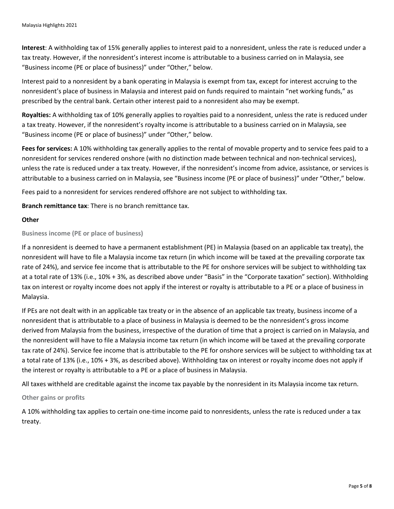**Interest**: A withholding tax of 15% generally applies to interest paid to a nonresident, unless the rate is reduced under a tax treaty. However, if the nonresident's interest income is attributable to a business carried on in Malaysia, see "Business income (PE or place of business)" under "Other," below.

Interest paid to a nonresident by a bank operating in Malaysia is exempt from tax, except for interest accruing to the nonresident's place of business in Malaysia and interest paid on funds required to maintain "net working funds," as prescribed by the central bank. Certain other interest paid to a nonresident also may be exempt.

**Royalties:** A withholding tax of 10% generally applies to royalties paid to a nonresident, unless the rate is reduced under a tax treaty. However, if the nonresident's royalty income is attributable to a business carried on in Malaysia, see "Business income (PE or place of business)" under "Other," below.

**Fees for services:** A 10% withholding tax generally applies to the rental of movable property and to service fees paid to a nonresident for services rendered onshore (with no distinction made between technical and non-technical services), unless the rate is reduced under a tax treaty. However, if the nonresident's income from advice, assistance, or services is attributable to a business carried on in Malaysia, see "Business income (PE or place of business)" under "Other," below.

Fees paid to a nonresident for services rendered offshore are not subject to withholding tax.

**Branch remittance tax**: There is no branch remittance tax.

#### **Other**

**Business income (PE or place of business)** 

If a nonresident is deemed to have a permanent establishment (PE) in Malaysia (based on an applicable tax treaty), the nonresident will have to file a Malaysia income tax return (in which income will be taxed at the prevailing corporate tax rate of 24%), and service fee income that is attributable to the PE for onshore services will be subject to withholding tax at a total rate of 13% (i.e., 10% + 3%, as described above under "Basis" in the "Corporate taxation" section). Withholding tax on interest or royalty income does not apply if the interest or royalty is attributable to a PE or a place of business in Malaysia.

If PEs are not dealt with in an applicable tax treaty or in the absence of an applicable tax treaty, business income of a nonresident that is attributable to a place of business in Malaysia is deemed to be the nonresident's gross income derived from Malaysia from the business, irrespective of the duration of time that a project is carried on in Malaysia, and the nonresident will have to file a Malaysia income tax return (in which income will be taxed at the prevailing corporate tax rate of 24%). Service fee income that is attributable to the PE for onshore services will be subject to withholding tax at a total rate of 13% (i.e., 10% + 3%, as described above). Withholding tax on interest or royalty income does not apply if the interest or royalty is attributable to a PE or a place of business in Malaysia.

All taxes withheld are creditable against the income tax payable by the nonresident in its Malaysia income tax return.

#### **Other gains or profits**

A 10% withholding tax applies to certain one-time income paid to nonresidents, unless the rate is reduced under a tax treaty.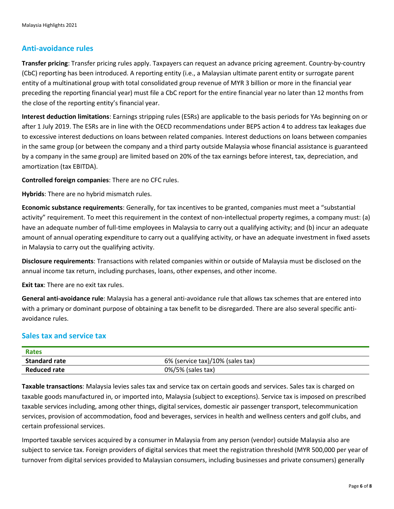#### **Anti-avoidance rules**

**Transfer pricing**: Transfer pricing rules apply. Taxpayers can request an advance pricing agreement. Country-by-country (CbC) reporting has been introduced. A reporting entity (i.e., a Malaysian ultimate parent entity or surrogate parent entity of a multinational group with total consolidated group revenue of MYR 3 billion or more in the financial year preceding the reporting financial year) must file a CbC report for the entire financial year no later than 12 months from the close of the reporting entity's financial year.

**Interest deduction limitations**: Earnings stripping rules (ESRs) are applicable to the basis periods for YAs beginning on or after 1 July 2019. The ESRs are in line with the OECD recommendations under BEPS action 4 to address tax leakages due to excessive interest deductions on loans between related companies. Interest deductions on loans between companies in the same group (or between the company and a third party outside Malaysia whose financial assistance is guaranteed by a company in the same group) are limited based on 20% of the tax earnings before interest, tax, depreciation, and amortization (tax EBITDA).

**Controlled foreign companies**: There are no CFC rules.

**Hybrids**: There are no hybrid mismatch rules.

**Economic substance requirements**: Generally, for tax incentives to be granted, companies must meet a "substantial activity" requirement. To meet this requirement in the context of non-intellectual property regimes, a company must: (a) have an adequate number of full-time employees in Malaysia to carry out a qualifying activity; and (b) incur an adequate amount of annual operating expenditure to carry out a qualifying activity, or have an adequate investment in fixed assets in Malaysia to carry out the qualifying activity.

**Disclosure requirements**: Transactions with related companies within or outside of Malaysia must be disclosed on the annual income tax return, including purchases, loans, other expenses, and other income.

**Exit tax**: There are no exit tax rules.

**General anti-avoidance rule**: Malaysia has a general anti-avoidance rule that allows tax schemes that are entered into with a primary or dominant purpose of obtaining a tax benefit to be disregarded. There are also several specific antiavoidance rules.

#### **Sales tax and service tax**

| Rates                |                                  |
|----------------------|----------------------------------|
| <b>Standard rate</b> | 6% (service tax)/10% (sales tax) |
| <b>Reduced rate</b>  | $0\%/5\%$ (sales tax)            |

**Taxable transactions**: Malaysia levies sales tax and service tax on certain goods and services. Sales tax is charged on taxable goods manufactured in, or imported into, Malaysia (subject to exceptions). Service tax is imposed on prescribed taxable services including, among other things, digital services, domestic air passenger transport, telecommunication services, provision of accommodation, food and beverages, services in health and wellness centers and golf clubs, and certain professional services.

Imported taxable services acquired by a consumer in Malaysia from any person (vendor) outside Malaysia also are subject to service tax. Foreign providers of digital services that meet the registration threshold (MYR 500,000 per year of turnover from digital services provided to Malaysian consumers, including businesses and private consumers) generally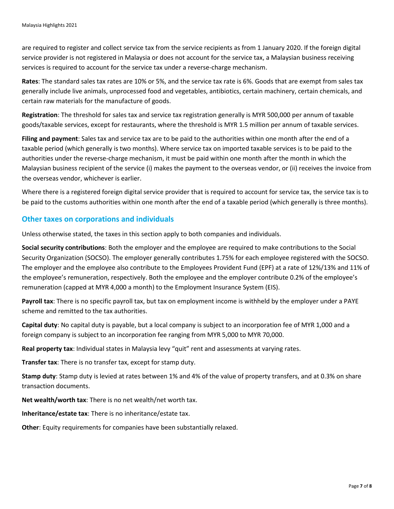are required to register and collect service tax from the service recipients as from 1 January 2020. If the foreign digital service provider is not registered in Malaysia or does not account for the service tax, a Malaysian business receiving services is required to account for the service tax under a reverse-charge mechanism.

**Rates**: The standard sales tax rates are 10% or 5%, and the service tax rate is 6%. Goods that are exempt from sales tax generally include live animals, unprocessed food and vegetables, antibiotics, certain machinery, certain chemicals, and certain raw materials for the manufacture of goods.

**Registration**: The threshold for sales tax and service tax registration generally is MYR 500,000 per annum of taxable goods/taxable services, except for restaurants, where the threshold is MYR 1.5 million per annum of taxable services.

**Filing and payment**: Sales tax and service tax are to be paid to the authorities within one month after the end of a taxable period (which generally is two months). Where service tax on imported taxable services is to be paid to the authorities under the reverse-charge mechanism, it must be paid within one month after the month in which the Malaysian business recipient of the service (i) makes the payment to the overseas vendor, or (ii) receives the invoice from the overseas vendor, whichever is earlier.

Where there is a registered foreign digital service provider that is required to account for service tax, the service tax is to be paid to the customs authorities within one month after the end of a taxable period (which generally is three months).

#### **Other taxes on corporations and individuals**

Unless otherwise stated, the taxes in this section apply to both companies and individuals.

**Social security contributions**: Both the employer and the employee are required to make contributions to the Social Security Organization (SOCSO). The employer generally contributes 1.75% for each employee registered with the SOCSO. The employer and the employee also contribute to the Employees Provident Fund (EPF) at a rate of 12%/13% and 11% of the employee's remuneration, respectively. Both the employee and the employer contribute 0.2% of the employee's remuneration (capped at MYR 4,000 a month) to the Employment Insurance System (EIS).

**Payroll tax**: There is no specific payroll tax, but tax on employment income is withheld by the employer under a PAYE scheme and remitted to the tax authorities.

**Capital duty**: No capital duty is payable, but a local company is subject to an incorporation fee of MYR 1,000 and a foreign company is subject to an incorporation fee ranging from MYR 5,000 to MYR 70,000.

**Real property tax**: Individual states in Malaysia levy "quit" rent and assessments at varying rates.

**Transfer tax**: There is no transfer tax, except for stamp duty.

**Stamp duty**: Stamp duty is levied at rates between 1% and 4% of the value of property transfers, and at 0.3% on share transaction documents.

**Net wealth/worth tax**: There is no net wealth/net worth tax.

**Inheritance/estate tax**: There is no inheritance/estate tax.

**Other**: Equity requirements for companies have been substantially relaxed.